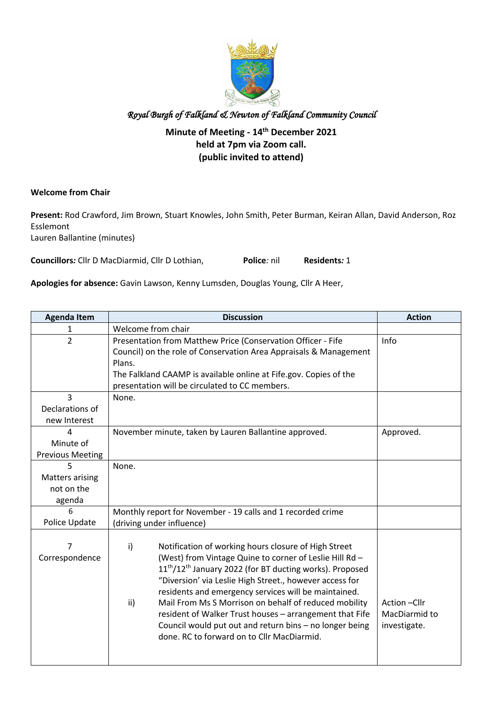

### **Minute of Meeting - 14th December 2021 held at 7pm via Zoom call. (public invited to attend)**

#### **Welcome from Chair**

**Present:** Rod Crawford, Jim Brown, Stuart Knowles, John Smith, Peter Burman, Keiran Allan, David Anderson, Roz Esslemont Lauren Ballantine (minutes)

**Councillors***:* Cllr D MacDiarmid, Cllr D Lothian, **Police***:* nil **Residents***:* 1

**Apologies for absence:** Gavin Lawson, Kenny Lumsden, Douglas Young, Cllr A Heer,

| <b>Agenda Item</b>                                  | <b>Discussion</b>                                                                                                                                                                                                                                                                                                                                                                                                                                                                                                                                                | <b>Action</b>                                |
|-----------------------------------------------------|------------------------------------------------------------------------------------------------------------------------------------------------------------------------------------------------------------------------------------------------------------------------------------------------------------------------------------------------------------------------------------------------------------------------------------------------------------------------------------------------------------------------------------------------------------------|----------------------------------------------|
| 1                                                   | Welcome from chair                                                                                                                                                                                                                                                                                                                                                                                                                                                                                                                                               |                                              |
| $\overline{2}$                                      | Presentation from Matthew Price (Conservation Officer - Fife<br>Council) on the role of Conservation Area Appraisals & Management<br>Plans.<br>The Falkland CAAMP is available online at Fife.gov. Copies of the<br>presentation will be circulated to CC members.                                                                                                                                                                                                                                                                                               | Info                                         |
| 3<br>Declarations of<br>new Interest                | None.                                                                                                                                                                                                                                                                                                                                                                                                                                                                                                                                                            |                                              |
| 4<br>Minute of<br><b>Previous Meeting</b>           | November minute, taken by Lauren Ballantine approved.                                                                                                                                                                                                                                                                                                                                                                                                                                                                                                            | Approved.                                    |
| 5<br><b>Matters arising</b><br>not on the<br>agenda | None.                                                                                                                                                                                                                                                                                                                                                                                                                                                                                                                                                            |                                              |
| 6<br>Police Update                                  | Monthly report for November - 19 calls and 1 recorded crime<br>(driving under influence)                                                                                                                                                                                                                                                                                                                                                                                                                                                                         |                                              |
| 7<br>Correspondence                                 | i)<br>Notification of working hours closure of High Street<br>(West) from Vintage Quine to corner of Leslie Hill Rd -<br>11 <sup>th</sup> /12 <sup>th</sup> January 2022 (for BT ducting works). Proposed<br>"Diversion' via Leslie High Street., however access for<br>residents and emergency services will be maintained.<br>ii)<br>Mail From Ms S Morrison on behalf of reduced mobility<br>resident of Walker Trust houses - arrangement that Fife<br>Council would put out and return bins - no longer being<br>done. RC to forward on to Cllr MacDiarmid. | Action-Cllr<br>MacDiarmid to<br>investigate. |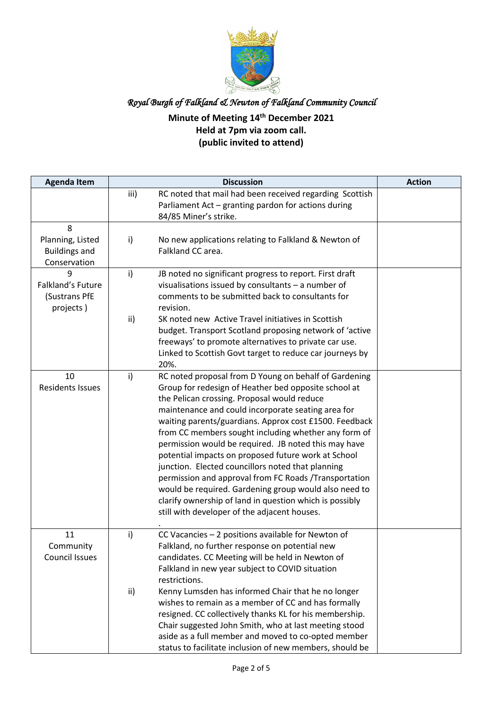

## **Minute of Meeting 14th December 2021 Held at 7pm via zoom call. (public invited to attend)**

| <b>Agenda Item</b>                                            | <b>Discussion</b>                                                                                                                                                                                                                                                                                                                                                                                                                                                                                                                                                                                                                                                                                                                                   | <b>Action</b> |
|---------------------------------------------------------------|-----------------------------------------------------------------------------------------------------------------------------------------------------------------------------------------------------------------------------------------------------------------------------------------------------------------------------------------------------------------------------------------------------------------------------------------------------------------------------------------------------------------------------------------------------------------------------------------------------------------------------------------------------------------------------------------------------------------------------------------------------|---------------|
|                                                               | RC noted that mail had been received regarding Scottish<br>iii)<br>Parliament Act - granting pardon for actions during<br>84/85 Miner's strike.                                                                                                                                                                                                                                                                                                                                                                                                                                                                                                                                                                                                     |               |
| 8<br>Planning, Listed<br><b>Buildings and</b><br>Conservation | i)<br>No new applications relating to Falkland & Newton of<br>Falkland CC area.                                                                                                                                                                                                                                                                                                                                                                                                                                                                                                                                                                                                                                                                     |               |
| 9<br>Falkland's Future<br>(Sustrans PfE<br>projects)          | $\mathsf{i}$<br>JB noted no significant progress to report. First draft<br>visualisations issued by consultants - a number of<br>comments to be submitted back to consultants for<br>revision.<br>ii)<br>SK noted new Active Travel initiatives in Scottish<br>budget. Transport Scotland proposing network of 'active<br>freeways' to promote alternatives to private car use.<br>Linked to Scottish Govt target to reduce car journeys by                                                                                                                                                                                                                                                                                                         |               |
| 10<br><b>Residents Issues</b>                                 | 20%.<br>i)<br>RC noted proposal from D Young on behalf of Gardening<br>Group for redesign of Heather bed opposite school at<br>the Pelican crossing. Proposal would reduce<br>maintenance and could incorporate seating area for<br>waiting parents/guardians. Approx cost £1500. Feedback<br>from CC members sought including whether any form of<br>permission would be required. JB noted this may have<br>potential impacts on proposed future work at School<br>junction. Elected councillors noted that planning<br>permission and approval from FC Roads /Transportation<br>would be required. Gardening group would also need to<br>clarify ownership of land in question which is possibly<br>still with developer of the adjacent houses. |               |
| 11<br>Community<br><b>Council Issues</b>                      | CC Vacancies - 2 positions available for Newton of<br>i)<br>Falkland, no further response on potential new<br>candidates. CC Meeting will be held in Newton of<br>Falkland in new year subject to COVID situation<br>restrictions.<br>Kenny Lumsden has informed Chair that he no longer<br>ii)<br>wishes to remain as a member of CC and has formally<br>resigned. CC collectively thanks KL for his membership.<br>Chair suggested John Smith, who at last meeting stood<br>aside as a full member and moved to co-opted member<br>status to facilitate inclusion of new members, should be                                                                                                                                                       |               |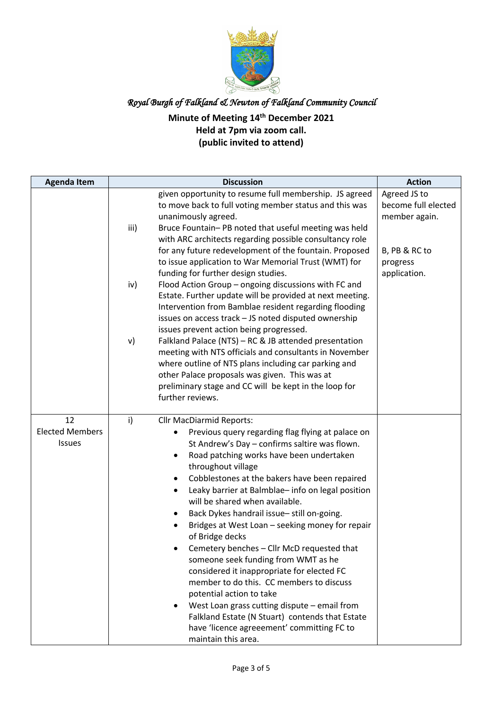

## **Minute of Meeting 14th December 2021 Held at 7pm via zoom call. (public invited to attend)**

| <b>Agenda Item</b>                     | <b>Discussion</b>                                                                                                                                                                                                                                                                                                                                                                                                                                                                                                                                                                                                                                                                                                                                                                                                                                                     | <b>Action</b>                                        |
|----------------------------------------|-----------------------------------------------------------------------------------------------------------------------------------------------------------------------------------------------------------------------------------------------------------------------------------------------------------------------------------------------------------------------------------------------------------------------------------------------------------------------------------------------------------------------------------------------------------------------------------------------------------------------------------------------------------------------------------------------------------------------------------------------------------------------------------------------------------------------------------------------------------------------|------------------------------------------------------|
|                                        | given opportunity to resume full membership. JS agreed<br>to move back to full voting member status and this was<br>unanimously agreed.<br>iii)<br>Bruce Fountain-PB noted that useful meeting was held<br>with ARC architects regarding possible consultancy role                                                                                                                                                                                                                                                                                                                                                                                                                                                                                                                                                                                                    | Agreed JS to<br>become full elected<br>member again. |
|                                        | for any future redevelopment of the fountain. Proposed<br>to issue application to War Memorial Trust (WMT) for<br>funding for further design studies.<br>iv)<br>Flood Action Group - ongoing discussions with FC and<br>Estate. Further update will be provided at next meeting.<br>Intervention from Bamblae resident regarding flooding<br>issues on access track - JS noted disputed ownership<br>issues prevent action being progressed.                                                                                                                                                                                                                                                                                                                                                                                                                          | B, PB & RC to<br>progress<br>application.            |
|                                        | v)<br>Falkland Palace (NTS) - RC & JB attended presentation<br>meeting with NTS officials and consultants in November<br>where outline of NTS plans including car parking and<br>other Palace proposals was given. This was at<br>preliminary stage and CC will be kept in the loop for<br>further reviews.                                                                                                                                                                                                                                                                                                                                                                                                                                                                                                                                                           |                                                      |
| 12<br><b>Elected Members</b><br>Issues | i)<br><b>Cllr MacDiarmid Reports:</b><br>Previous query regarding flag flying at palace on<br>St Andrew's Day - confirms saltire was flown.<br>Road patching works have been undertaken<br>٠<br>throughout village<br>Cobblestones at the bakers have been repaired<br>Leaky barrier at Balmblae- info on legal position<br>will be shared when available.<br>Back Dykes handrail issue-still on-going.<br>٠<br>Bridges at West Loan - seeking money for repair<br>of Bridge decks<br>Cemetery benches – Cllr McD requested that<br>someone seek funding from WMT as he<br>considered it inappropriate for elected FC<br>member to do this. CC members to discuss<br>potential action to take<br>West Loan grass cutting dispute - email from<br>Falkland Estate (N Stuart) contends that Estate<br>have 'licence agreeement' committing FC to<br>maintain this area. |                                                      |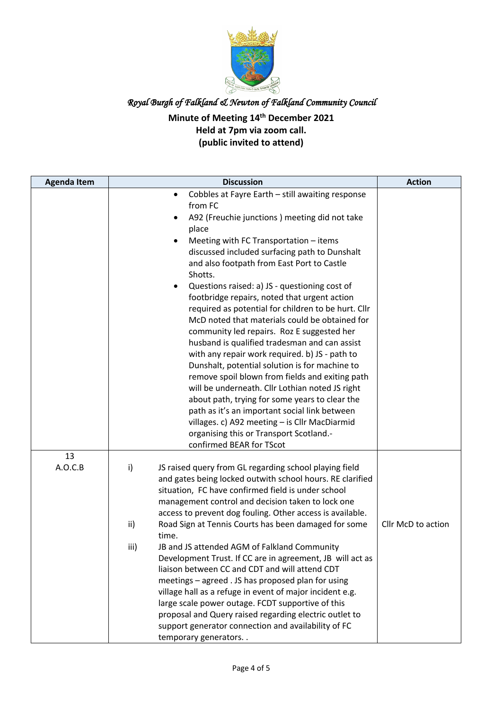

## **Minute of Meeting 14th December 2021 Held at 7pm via zoom call. (public invited to attend)**

| <b>Agenda Item</b> | <b>Discussion</b>                                                                                                                                                                                                                                                                                                                                                                                                                                                                                                                                                                                                                                                                                                                                                                                                                                                                                                                                                                                                                         | <b>Action</b>      |
|--------------------|-------------------------------------------------------------------------------------------------------------------------------------------------------------------------------------------------------------------------------------------------------------------------------------------------------------------------------------------------------------------------------------------------------------------------------------------------------------------------------------------------------------------------------------------------------------------------------------------------------------------------------------------------------------------------------------------------------------------------------------------------------------------------------------------------------------------------------------------------------------------------------------------------------------------------------------------------------------------------------------------------------------------------------------------|--------------------|
|                    | Cobbles at Fayre Earth - still awaiting response<br>٠<br>from FC<br>A92 (Freuchie junctions) meeting did not take<br>place<br>Meeting with FC Transportation - items<br>$\bullet$<br>discussed included surfacing path to Dunshalt<br>and also footpath from East Port to Castle<br>Shotts.<br>Questions raised: a) JS - questioning cost of<br>footbridge repairs, noted that urgent action<br>required as potential for children to be hurt. Cllr<br>McD noted that materials could be obtained for<br>community led repairs. Roz E suggested her<br>husband is qualified tradesman and can assist<br>with any repair work required. b) JS - path to<br>Dunshalt, potential solution is for machine to<br>remove spoil blown from fields and exiting path<br>will be underneath. Cllr Lothian noted JS right<br>about path, trying for some years to clear the<br>path as it's an important social link between<br>villages. c) A92 meeting - is Cllr MacDiarmid<br>organising this or Transport Scotland.-<br>confirmed BEAR for TScot |                    |
| 13<br>A.O.C.B      | i)<br>JS raised query from GL regarding school playing field<br>and gates being locked outwith school hours. RE clarified<br>situation, FC have confirmed field is under school<br>management control and decision taken to lock one<br>access to prevent dog fouling. Other access is available.<br>ii)<br>Road Sign at Tennis Courts has been damaged for some<br>time.<br>iii)<br>JB and JS attended AGM of Falkland Community<br>Development Trust. If CC are in agreement, JB will act as<br>liaison between CC and CDT and will attend CDT<br>meetings - agreed . JS has proposed plan for using<br>village hall as a refuge in event of major incident e.g.<br>large scale power outage. FCDT supportive of this<br>proposal and Query raised regarding electric outlet to<br>support generator connection and availability of FC<br>temporary generators                                                                                                                                                                          | Cllr McD to action |